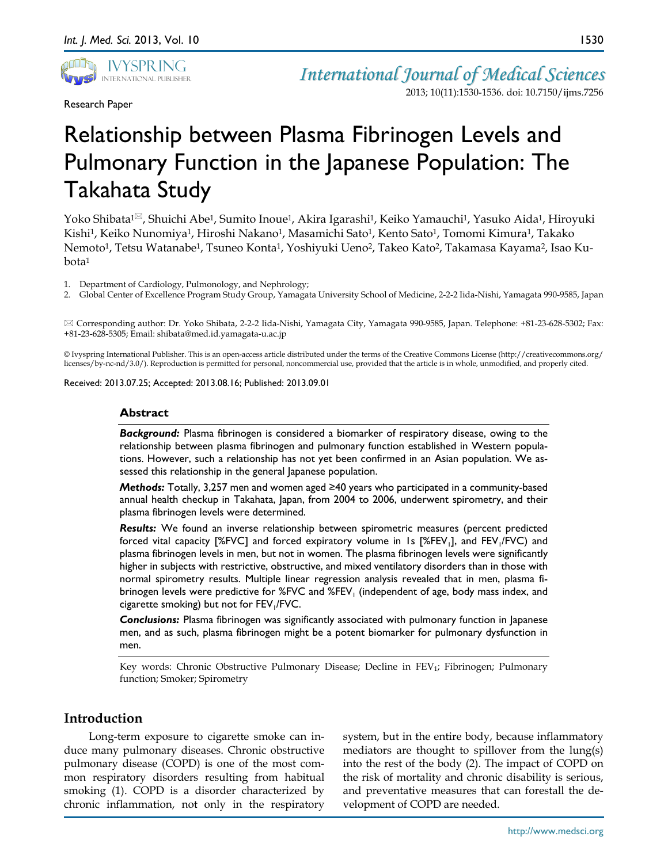

Research Paper

2013; 10(11):1530-1536. doi: 10.7150/ijms.7256

1530

# Relationship between Plasma Fibrinogen Levels and Pulmonary Function in the Japanese Population: The Takahata Study

Yoko Shibata<sup>1⊠</sup>, Shuichi Abe<sup>1</sup>, Sumito Inoue<sup>1</sup>, Akira Igarashi<sup>1</sup>, Keiko Yamauchi<sup>1</sup>, Yasuko Aida<sup>1</sup>, Hiroyuki Kishi1, Keiko Nunomiya1, Hiroshi Nakano1, Masamichi Sato1, Kento Sato1, Tomomi Kimura1, Takako Nemoto<sup>1</sup>, Tetsu Watanabe<sup>1</sup>, Tsuneo Konta<sup>1</sup>, Yoshiyuki Ueno<sup>2</sup>, Takeo Kato<sup>2</sup>, Takamasa Kayama<sup>2</sup>, Isao Kubota1

1. Department of Cardiology, Pulmonology, and Nephrology;

2. Global Center of Excellence Program Study Group, Yamagata University School of Medicine, 2-2-2 Iida-Nishi, Yamagata 990-9585, Japan

 Corresponding author: Dr. Yoko Shibata, 2-2-2 Iida-Nishi, Yamagata City, Yamagata 990-9585, Japan. Telephone: +81-23-628-5302; Fax: +81-23-628-5305; Email: shibata@med.id.yamagata-u.ac.jp

© Ivyspring International Publisher. This is an open-access article distributed under the terms of the Creative Commons License (http://creativecommons.org/ licenses/by-nc-nd/3.0/). Reproduction is permitted for personal, noncommercial use, provided that the article is in whole, unmodified, and properly cited.

Received: 2013.07.25; Accepted: 2013.08.16; Published: 2013.09.01

#### **Abstract**

*Background:* Plasma fibrinogen is considered a biomarker of respiratory disease, owing to the relationship between plasma fibrinogen and pulmonary function established in Western populations. However, such a relationship has not yet been confirmed in an Asian population. We assessed this relationship in the general Japanese population.

*Methods:* Totally, 3,257 men and women aged ≥40 years who participated in a community-based annual health checkup in Takahata, Japan, from 2004 to 2006, underwent spirometry, and their plasma fibrinogen levels were determined.

*Results:* We found an inverse relationship between spirometric measures (percent predicted forced vital capacity [%FVC] and forced expiratory volume in 1s [%FEV<sub>1</sub>], and FEV<sub>1</sub>/FVC) and plasma fibrinogen levels in men, but not in women. The plasma fibrinogen levels were significantly higher in subjects with restrictive, obstructive, and mixed ventilatory disorders than in those with normal spirometry results. Multiple linear regression analysis revealed that in men, plasma fibrinogen levels were predictive for  $\%$  FVC and  $\%$  FEV<sub>1</sub> (independent of age, body mass index, and cigarette smoking) but not for FEV<sub>1</sub>/FVC.

*Conclusions:* Plasma fibrinogen was significantly associated with pulmonary function in Japanese men, and as such, plasma fibrinogen might be a potent biomarker for pulmonary dysfunction in men.

Key words: Chronic Obstructive Pulmonary Disease; Decline in FEV<sub>1</sub>; Fibrinogen; Pulmonary function; Smoker; Spirometry

# **Introduction**

Long-term exposure to cigarette smoke can induce many pulmonary diseases. Chronic obstructive pulmonary disease (COPD) is one of the most common respiratory disorders resulting from habitual smoking (1). COPD is a disorder characterized by chronic inflammation, not only in the respiratory

system, but in the entire body, because inflammatory mediators are thought to spillover from the lung(s) into the rest of the body (2). The impact of COPD on the risk of mortality and chronic disability is serious, and preventative measures that can forestall the development of COPD are needed.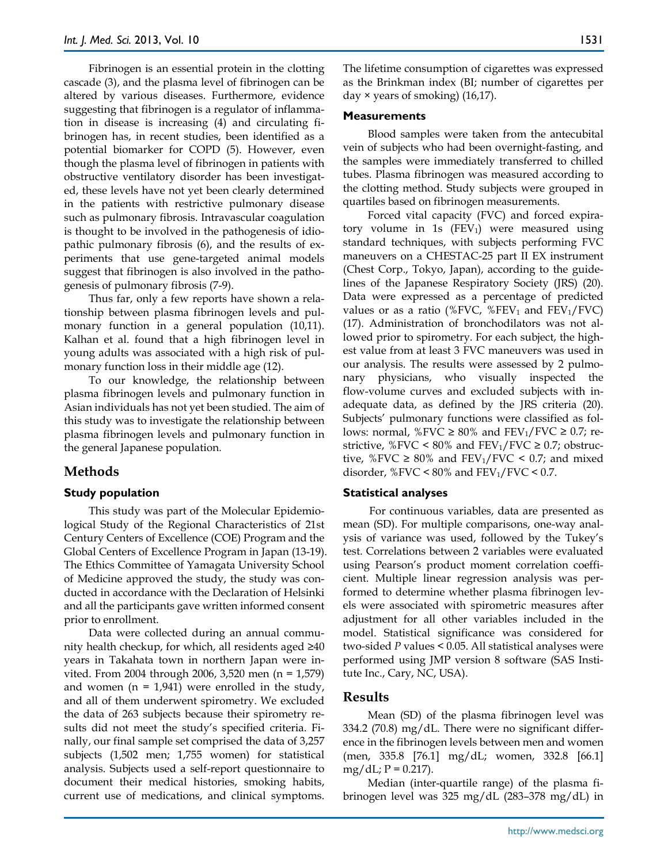Fibrinogen is an essential protein in the clotting cascade (3), and the plasma level of fibrinogen can be altered by various diseases. Furthermore, evidence suggesting that fibrinogen is a regulator of inflammation in disease is increasing (4) and circulating fibrinogen has, in recent studies, been identified as a potential biomarker for COPD (5). However, even though the plasma level of fibrinogen in patients with obstructive ventilatory disorder has been investigated, these levels have not yet been clearly determined in the patients with restrictive pulmonary disease such as pulmonary fibrosis. Intravascular coagulation is thought to be involved in the pathogenesis of idiopathic pulmonary fibrosis (6), and the results of experiments that use gene-targeted animal models suggest that fibrinogen is also involved in the pathogenesis of pulmonary fibrosis (7-9).

Thus far, only a few reports have shown a relationship between plasma fibrinogen levels and pulmonary function in a general population (10,11). Kalhan et al. found that a high fibrinogen level in young adults was associated with a high risk of pulmonary function loss in their middle age (12).

To our knowledge, the relationship between plasma fibrinogen levels and pulmonary function in Asian individuals has not yet been studied. The aim of this study was to investigate the relationship between plasma fibrinogen levels and pulmonary function in the general Japanese population.

# **Methods**

## **Study population**

This study was part of the Molecular Epidemiological Study of the Regional Characteristics of 21st Century Centers of Excellence (COE) Program and the Global Centers of Excellence Program in Japan (13-19). The Ethics Committee of Yamagata University School of Medicine approved the study, the study was conducted in accordance with the Declaration of Helsinki and all the participants gave written informed consent prior to enrollment.

Data were collected during an annual community health checkup, for which, all residents aged ≥40 years in Takahata town in northern Japan were invited. From 2004 through 2006, 3,520 men (n = 1,579) and women  $(n = 1.941)$  were enrolled in the study, and all of them underwent spirometry. We excluded the data of 263 subjects because their spirometry results did not meet the study's specified criteria. Finally, our final sample set comprised the data of 3,257 subjects (1,502 men; 1,755 women) for statistical analysis. Subjects used a self-report questionnaire to document their medical histories, smoking habits, current use of medications, and clinical symptoms.

The lifetime consumption of cigarettes was expressed as the Brinkman index (BI; number of cigarettes per day × years of smoking) (16,17).

#### **Measurements**

Blood samples were taken from the antecubital vein of subjects who had been overnight-fasting, and the samples were immediately transferred to chilled tubes. Plasma fibrinogen was measured according to the clotting method. Study subjects were grouped in quartiles based on fibrinogen measurements.

Forced vital capacity (FVC) and forced expiratory volume in 1s  $(FEV_1)$  were measured using standard techniques, with subjects performing FVC maneuvers on a CHESTAC-25 part II EX instrument (Chest Corp., Tokyo, Japan), according to the guidelines of the Japanese Respiratory Society (JRS) (20). Data were expressed as a percentage of predicted values or as a ratio (%FVC, %FEV<sub>1</sub> and FEV<sub>1</sub>/FVC) (17). Administration of bronchodilators was not allowed prior to spirometry. For each subject, the highest value from at least 3 FVC maneuvers was used in our analysis. The results were assessed by 2 pulmonary physicians, who visually inspected the flow-volume curves and excluded subjects with inadequate data, as defined by the JRS criteria (20). Subjects' pulmonary functions were classified as follows: normal, %FVC  $\geq 80\%$  and FEV<sub>1</sub>/FVC  $\geq 0.7$ ; restrictive, %FVC < 80% and FEV<sub>1</sub>/FVC  $\geq$  0.7; obstructive, %FVC  $\geq$  80% and FEV<sub>1</sub>/FVC < 0.7; and mixed disorder,  $\%$  FVC < 80% and FEV<sub>1</sub>/FVC < 0.7.

## **Statistical analyses**

For continuous variables, data are presented as mean (SD). For multiple comparisons, one-way analysis of variance was used, followed by the Tukey's test. Correlations between 2 variables were evaluated using Pearson's product moment correlation coefficient. Multiple linear regression analysis was performed to determine whether plasma fibrinogen levels were associated with spirometric measures after adjustment for all other variables included in the model. Statistical significance was considered for two-sided *P* values < 0.05. All statistical analyses were performed using JMP version 8 software (SAS Institute Inc., Cary, NC, USA).

## **Results**

Mean (SD) of the plasma fibrinogen level was 334.2 (70.8) mg/dL. There were no significant difference in the fibrinogen levels between men and women (men, 335.8 [76.1] mg/dL; women, 332.8 [66.1]  $mg/dL; P = 0.217$ .

Median (inter-quartile range) of the plasma fibrinogen level was 325 mg/dL (283–378 mg/dL) in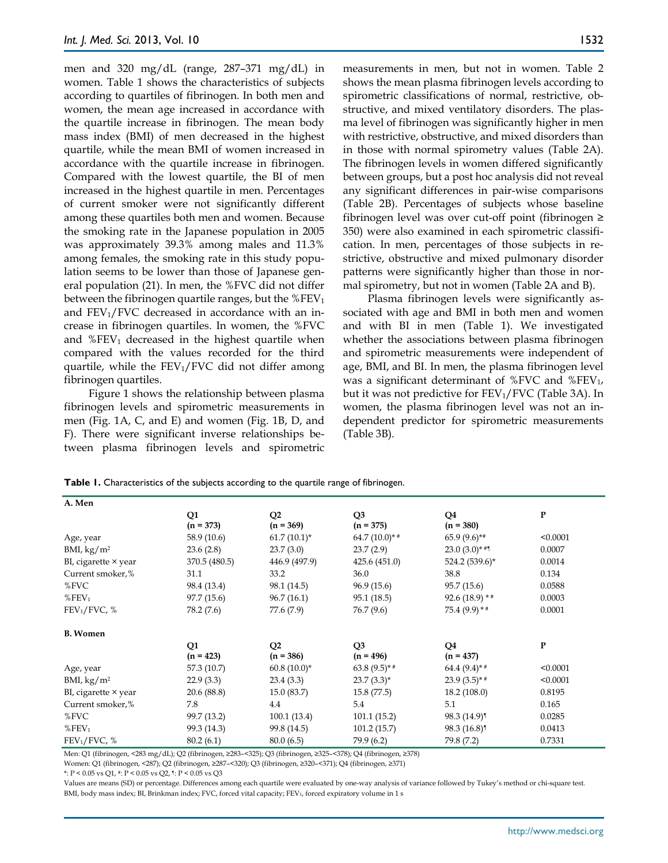men and 320 mg/dL (range, 287–371 mg/dL) in women. Table 1 shows the characteristics of subjects according to quartiles of fibrinogen. In both men and women, the mean age increased in accordance with the quartile increase in fibrinogen. The mean body mass index (BMI) of men decreased in the highest quartile, while the mean BMI of women increased in accordance with the quartile increase in fibrinogen. Compared with the lowest quartile, the BI of men increased in the highest quartile in men. Percentages of current smoker were not significantly different among these quartiles both men and women. Because the smoking rate in the Japanese population in 2005 was approximately 39.3% among males and 11.3% among females, the smoking rate in this study population seems to be lower than those of Japanese general population (21). In men, the %FVC did not differ between the fibrinogen quartile ranges, but the  $%$ FEV<sub>1</sub> and  $FEV<sub>1</sub>/FVC$  decreased in accordance with an increase in fibrinogen quartiles. In women, the %FVC and  $%$ FEV<sub>1</sub> decreased in the highest quartile when compared with the values recorded for the third quartile, while the  $FEV<sub>1</sub>/FVC$  did not differ among fibrinogen quartiles.

Figure 1 shows the relationship between plasma fibrinogen levels and spirometric measurements in men (Fig. 1A, C, and E) and women (Fig. 1B, D, and F). There were significant inverse relationships between plasma fibrinogen levels and spirometric measurements in men, but not in women. Table 2 shows the mean plasma fibrinogen levels according to spirometric classifications of normal, restrictive, obstructive, and mixed ventilatory disorders. The plasma level of fibrinogen was significantly higher in men with restrictive, obstructive, and mixed disorders than in those with normal spirometry values (Table 2A). The fibrinogen levels in women differed significantly between groups, but a post hoc analysis did not reveal any significant differences in pair-wise comparisons (Table 2B). Percentages of subjects whose baseline fibrinogen level was over cut-off point (fibrinogen ≥ 350) were also examined in each spirometric classification. In men, percentages of those subjects in restrictive, obstructive and mixed pulmonary disorder patterns were significantly higher than those in normal spirometry, but not in women (Table 2A and B).

Plasma fibrinogen levels were significantly associated with age and BMI in both men and women and with BI in men (Table 1). We investigated whether the associations between plasma fibrinogen and spirometric measurements were independent of age, BMI, and BI. In men, the plasma fibrinogen level was a significant determinant of %FVC and %FEV<sub>1</sub>, but it was not predictive for  $FEV_1/FVC$  (Table 3A). In women, the plasma fibrinogen level was not an independent predictor for spirometric measurements (Table 3B).

| Δ<br>A. Men |  |  |
|-------------|--|--|

**Table 1.** Characteristics of the subjects according to the quartile range of fibrinogen.

| A. WICH                     |                   |                               |                               |                   |              |
|-----------------------------|-------------------|-------------------------------|-------------------------------|-------------------|--------------|
|                             | Q1<br>$(n = 373)$ | Q <sub>2</sub><br>$(n = 369)$ | Q <sub>3</sub><br>$(n = 375)$ | Q4<br>$(n = 380)$ | P            |
| Age, year                   | 58.9 (10.6)       | $61.7(10.1)^*$                | 64.7 $(10.0)*$ #              | $65.9(9.6)$ **    | < 0.0001     |
| BMI, $\text{kg/m}^2$        | 23.6(2.8)         | 23.7(3.0)                     | 23.7(2.9)                     | $23.0(3.0)*$ #1   | 0.0007       |
| BI, cigarette $\times$ year | 370.5 (480.5)     | 446.9 (497.9)                 | 425.6(451.0)                  | 524.2 (539.6)*    | 0.0014       |
| Current smoker,%            | 31.1              | 33.2                          | 36.0                          | 38.8              | 0.134        |
| %FVC                        | 98.4 (13.4)       | 98.1 (14.5)                   | 96.9(15.6)                    | 95.7(15.6)        | 0.0588       |
| $%$ FEV <sub>1</sub>        | 97.7(15.6)        | 96.7(16.1)                    | 95.1 (18.5)                   | $92.6(18.9)*$     | 0.0003       |
| FEV <sub>1</sub> /FVC, %    | 78.2 (7.6)        | 77.6 (7.9)                    | 76.7 (9.6)                    | $75.4(9.9)*$ #    | 0.0001       |
| <b>B.</b> Women             |                   |                               |                               |                   |              |
|                             | Q1<br>$(n = 423)$ | Q <sub>2</sub><br>$(n = 386)$ | Q <sub>3</sub><br>$(n = 496)$ | Q4<br>$(n = 437)$ | $\mathbf{P}$ |
| Age, year                   | 57.3 (10.7)       | $60.8(10.0)^*$                | $63.8(9.5)*$ #                | 64.4 $(9.4)$ * #  | < 0.0001     |
| BMI, $\text{kg/m}^2$        | 22.9(3.3)         | 23.4(3.3)                     | $23.7(3.3)^{*}$               | $23.9(3.5)*$ #    | < 0.0001     |
| BI, cigarette × year        | 20.6 (88.8)       | 15.0(83.7)                    | 15.8(77.5)                    | 18.2(108.0)       | 0.8195       |
| Current smoker,%            | 7.8               | 4.4                           | 5.4                           | 5.1               | 0.165        |
| %FVC                        | 99.7 (13.2)       | 100.1(13.4)                   | 101.1(15.2)                   | 98.3 (14.9)       | 0.0285       |
| $%$ FEV <sub>1</sub>        | 99.3 (14.3)       | 99.8 (14.5)                   | 101.2(15.7)                   | 98.3 (16.8)       | 0.0413       |
| FEV <sub>1</sub> /FVC, %    | 80.2(6.1)         | 80.0(6.5)                     | 79.9 (6.2)                    | 79.8 (7.2)        | 0.7331       |

Men: Q1 (fibrinogen, <283 mg/dL); Q2 (fibrinogen, ≥283–<325); Q3 (fibrinogen, ≥325–<378); Q4 (fibrinogen, ≥378) Women: Q1 (fibrinogen, <287); Q2 (fibrinogen, ≥287–<320); Q3 (fibrinogen, ≥320–<371); Q4 (fibrinogen, ≥371)

\*: P < 0.05 vs Q1, #: P < 0.05 vs Q2, ¶: P < 0.05 vs Q3

Values are means (SD) or percentage. Differences among each quartile were evaluated by one-way analysis of variance followed by Tukey's method or chi-square test. BMI, body mass index; BI, Brinkman index; FVC, forced vital capacity; FEV<sub>1</sub>, forced expiratory volume in 1 s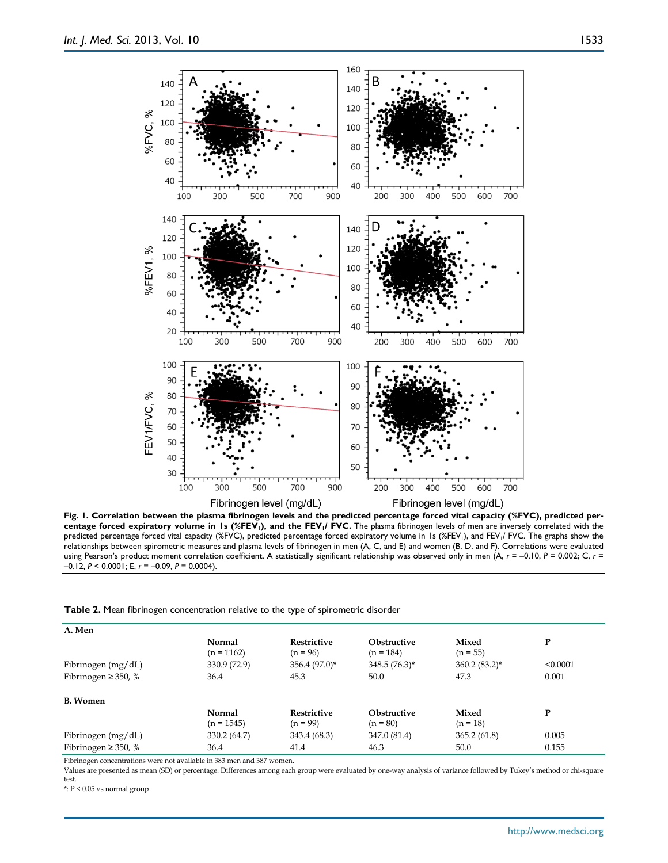

**Fig. 1. Correlation between the plasma fibrinogen levels and the predicted percentage forced vital capacity (%FVC), predicted per**centage forced expiratory volume in 1s (%FEV<sub>1</sub>), and the FEV<sub>1</sub>/ FVC. The plasma fibrinogen levels of men are inversely correlated with the predicted percentage forced vital capacity (%FVC), predicted percentage forced expiratory volume in 1s (%FEV<sub>1</sub>), and FEV<sub>1</sub>/ FVC. The graphs show the relationships between spirometric measures and plasma levels of fibrinogen in men (A, C, and E) and women (B, D, and F). Correlations were evaluated using Pearson's product moment correlation coefficient. A statistically significant relationship was observed only in men (A,  $r = -0.10$ ,  $P = 0.002$ ; C,  $r =$ –0.12, *P* < 0.0001; E, *r* = –0.09, *P* = 0.0004).

**Table 2.** Mean fibrinogen concentration relative to the type of spirometric disorder

| A. Men                   |                        |                                  |                                   |                     |          |
|--------------------------|------------------------|----------------------------------|-----------------------------------|---------------------|----------|
|                          | Normal<br>$(n = 1162)$ | <b>Restrictive</b><br>$(n = 96)$ | <b>Obstructive</b><br>$(n = 184)$ | Mixed<br>$(n = 55)$ | P        |
| Fibrinogen (mg/dL)       | 330.9 (72.9)           | $356.4(97.0)$ *                  | $348.5(76.3)^*$                   | $360.2(83.2)^*$     | < 0.0001 |
| Fibrinogen $\geq$ 350, % | 36.4                   | 45.3                             | 50.0                              | 47.3                | 0.001    |
| <b>B.</b> Women          |                        |                                  |                                   |                     |          |
|                          | Normal<br>$(n = 1545)$ | <b>Restrictive</b><br>$(n = 99)$ | <b>Obstructive</b><br>$(n = 80)$  | Mixed<br>$(n = 18)$ | P        |
| Fibrinogen (mg/dL)       | 330.2 (64.7)           | 343.4 (68.3)                     | 347.0 (81.4)                      | 365.2(61.8)         | 0.005    |
| Fibrinogen $\geq$ 350, % | 36.4                   | 41.4                             | 46.3                              | 50.0                | 0.155    |

Fibrinogen concentrations were not available in 383 men and 387 women.

Values are presented as mean (SD) or percentage. Differences among each group were evaluated by one-way analysis of variance followed by Tukey's method or chi-square test.

 $\texttt{*:} \ \texttt{P} \leq 0.05 \ \texttt{vs}$  normal group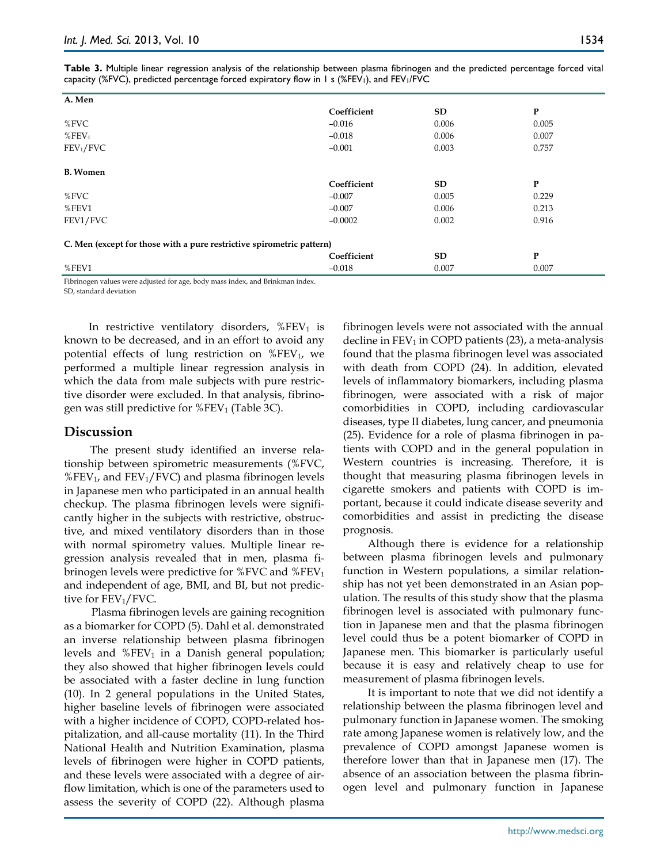**Table 3.** Multiple linear regression analysis of the relationship between plasma fibrinogen and the predicted percentage forced vital capacity (%FVC), predicted percentage forced expiratory flow in 1 s (%FEV<sub>1</sub>), and FEV<sub>1</sub>/FVC

| A. Men                                                                |             |       |              |  |
|-----------------------------------------------------------------------|-------------|-------|--------------|--|
|                                                                       | Coefficient | SD    | $\mathbf{P}$ |  |
| % $FVC$                                                               | $-0.016$    | 0.006 | 0.005        |  |
| $%$ FEV <sub>1</sub>                                                  | $-0.018$    | 0.006 | 0.007        |  |
| FEV <sub>1</sub> /FVC                                                 | $-0.001$    | 0.003 | 0.757        |  |
|                                                                       |             |       |              |  |
| <b>B.</b> Women                                                       |             |       |              |  |
|                                                                       | Coefficient | SD    | $\mathbf{P}$ |  |
| % $FVC$                                                               | $-0.007$    | 0.005 | 0.229        |  |
| %FEV1                                                                 | $-0.007$    | 0.006 | 0.213        |  |
| FEV1/FVC                                                              | $-0.0002$   | 0.002 | 0.916        |  |
| C. Men (except for those with a pure restrictive spirometric pattern) |             |       |              |  |
|                                                                       | Coefficient | SD    | $\mathbf{P}$ |  |
| %FEV1                                                                 | $-0.018$    | 0.007 | 0.007        |  |

Fibrinogen values were adjusted for age, body mass index, and Brinkman index. SD, standard deviation

In restrictive ventilatory disorders,  $%$  FEV<sub>1</sub> is known to be decreased, and in an effort to avoid any potential effects of lung restriction on %FEV1, we performed a multiple linear regression analysis in which the data from male subjects with pure restrictive disorder were excluded. In that analysis, fibrinogen was still predictive for  $%$  FEV<sub>1</sub> (Table 3C).

## **Discussion**

The present study identified an inverse relationship between spirometric measurements (%FVC,  $%$  FEV<sub>1</sub>, and FEV<sub>1</sub>/FVC) and plasma fibrinogen levels in Japanese men who participated in an annual health checkup. The plasma fibrinogen levels were significantly higher in the subjects with restrictive, obstructive, and mixed ventilatory disorders than in those with normal spirometry values. Multiple linear regression analysis revealed that in men, plasma fibrinogen levels were predictive for  $\%$  FVC and  $\%$  FEV<sub>1</sub> and independent of age, BMI, and BI, but not predictive for  $FEV_1/FVC$ .

Plasma fibrinogen levels are gaining recognition as a biomarker for COPD (5). Dahl et al. demonstrated an inverse relationship between plasma fibrinogen levels and  $%$ FEV<sub>1</sub> in a Danish general population; they also showed that higher fibrinogen levels could be associated with a faster decline in lung function (10). In 2 general populations in the United States, higher baseline levels of fibrinogen were associated with a higher incidence of COPD, COPD-related hospitalization, and all-cause mortality (11). In the Third National Health and Nutrition Examination, plasma levels of fibrinogen were higher in COPD patients, and these levels were associated with a degree of airflow limitation, which is one of the parameters used to assess the severity of COPD (22). Although plasma

fibrinogen levels were not associated with the annual decline in  $FEV_1$  in COPD patients (23), a meta-analysis found that the plasma fibrinogen level was associated with death from COPD (24). In addition, elevated levels of inflammatory biomarkers, including plasma fibrinogen, were associated with a risk of major comorbidities in COPD, including cardiovascular diseases, type II diabetes, lung cancer, and pneumonia (25). Evidence for a role of plasma fibrinogen in patients with COPD and in the general population in Western countries is increasing. Therefore, it is thought that measuring plasma fibrinogen levels in cigarette smokers and patients with COPD is important, because it could indicate disease severity and comorbidities and assist in predicting the disease prognosis.

Although there is evidence for a relationship between plasma fibrinogen levels and pulmonary function in Western populations, a similar relationship has not yet been demonstrated in an Asian population. The results of this study show that the plasma fibrinogen level is associated with pulmonary function in Japanese men and that the plasma fibrinogen level could thus be a potent biomarker of COPD in Japanese men. This biomarker is particularly useful because it is easy and relatively cheap to use for measurement of plasma fibrinogen levels.

It is important to note that we did not identify a relationship between the plasma fibrinogen level and pulmonary function in Japanese women. The smoking rate among Japanese women is relatively low, and the prevalence of COPD amongst Japanese women is therefore lower than that in Japanese men (17). The absence of an association between the plasma fibrinogen level and pulmonary function in Japanese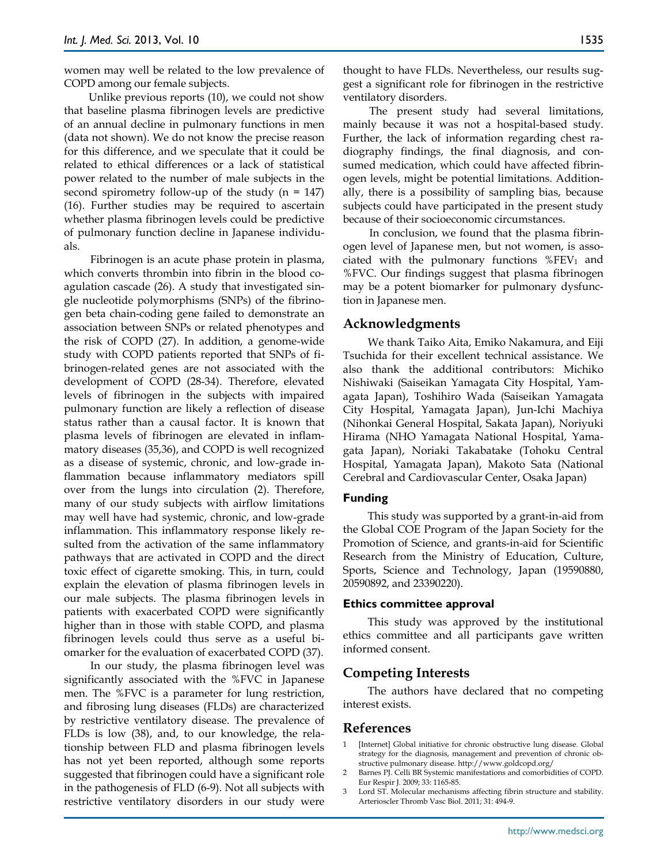women may well be related to the low prevalence of COPD among our female subjects.

Unlike previous reports (10), we could not show that baseline plasma fibrinogen levels are predictive of an annual decline in pulmonary functions in men (data not shown). We do not know the precise reason for this difference, and we speculate that it could be related to ethical differences or a lack of statistical power related to the number of male subjects in the second spirometry follow-up of the study  $(n = 147)$ (16). Further studies may be required to ascertain whether plasma fibrinogen levels could be predictive of pulmonary function decline in Japanese individuals.

Fibrinogen is an acute phase protein in plasma, which converts thrombin into fibrin in the blood coagulation cascade (26). A study that investigated single nucleotide polymorphisms (SNPs) of the fibrinogen beta chain-coding gene failed to demonstrate an association between SNPs or related phenotypes and the risk of COPD (27). In addition, a genome-wide study with COPD patients reported that SNPs of fibrinogen-related genes are not associated with the development of COPD (28-34). Therefore, elevated levels of fibrinogen in the subjects with impaired pulmonary function are likely a reflection of disease status rather than a causal factor. It is known that plasma levels of fibrinogen are elevated in inflammatory diseases (35,36), and COPD is well recognized as a disease of systemic, chronic, and low-grade inflammation because inflammatory mediators spill over from the lungs into circulation (2). Therefore, many of our study subjects with airflow limitations may well have had systemic, chronic, and low-grade inflammation. This inflammatory response likely resulted from the activation of the same inflammatory pathways that are activated in COPD and the direct toxic effect of cigarette smoking. This, in turn, could explain the elevation of plasma fibrinogen levels in our male subjects. The plasma fibrinogen levels in patients with exacerbated COPD were significantly higher than in those with stable COPD, and plasma fibrinogen levels could thus serve as a useful biomarker for the evaluation of exacerbated COPD (37).

In our study, the plasma fibrinogen level was significantly associated with the %FVC in Japanese men. The %FVC is a parameter for lung restriction, and fibrosing lung diseases (FLDs) are characterized by restrictive ventilatory disease. The prevalence of FLDs is low (38), and, to our knowledge, the relationship between FLD and plasma fibrinogen levels has not yet been reported, although some reports suggested that fibrinogen could have a significant role in the pathogenesis of FLD (6-9). Not all subjects with restrictive ventilatory disorders in our study were thought to have FLDs. Nevertheless, our results suggest a significant role for fibrinogen in the restrictive ventilatory disorders.

The present study had several limitations, mainly because it was not a hospital-based study. Further, the lack of information regarding chest radiography findings, the final diagnosis, and consumed medication, which could have affected fibrinogen levels, might be potential limitations. Additionally, there is a possibility of sampling bias, because subjects could have participated in the present study because of their socioeconomic circumstances.

In conclusion, we found that the plasma fibrinogen level of Japanese men, but not women, is associated with the pulmonary functions  $%$ FEV<sub>1</sub> and %FVC. Our findings suggest that plasma fibrinogen may be a potent biomarker for pulmonary dysfunction in Japanese men.

#### **Acknowledgments**

We thank Taiko Aita, Emiko Nakamura, and Eiji Tsuchida for their excellent technical assistance. We also thank the additional contributors: Michiko Nishiwaki (Saiseikan Yamagata City Hospital, Yamagata Japan), Toshihiro Wada (Saiseikan Yamagata City Hospital, Yamagata Japan), Jun-Ichi Machiya (Nihonkai General Hospital, Sakata Japan), Noriyuki Hirama (NHO Yamagata National Hospital, Yamagata Japan), Noriaki Takabatake (Tohoku Central Hospital, Yamagata Japan), Makoto Sata (National Cerebral and Cardiovascular Center, Osaka Japan)

#### **Funding**

This study was supported by a grant-in-aid from the Global COE Program of the Japan Society for the Promotion of Science, and grants-in-aid for Scientific Research from the Ministry of Education, Culture, Sports, Science and Technology, Japan (19590880, 20590892, and 23390220).

#### **Ethics committee approval**

This study was approved by the institutional ethics committee and all participants gave written informed consent.

## **Competing Interests**

The authors have declared that no competing interest exists.

## **References**

- 1 [Internet] Global initiative for chronic obstructive lung disease. Global strategy for the diagnosis, management and prevention of chronic obstructive pulmonary disease. http://www.goldcopd.org/
- 2 Barnes PJ. Celli BR Systemic manifestations and comorbidities of COPD. Eur Respir J. 2009; 33: 1165-85.
- 3 Lord ST. Molecular mechanisms affecting fibrin structure and stability. Arterioscler Thromb Vasc Biol. 2011; 31: 494-9.